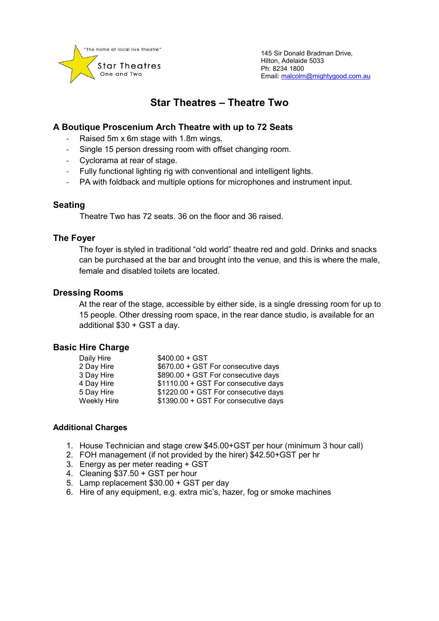

145 Sir Donald Bradman Drive, Hilton, Adelaide 5033 Ph: 8234 1800 Email: malcolm@mightygood.com.au

# **Star Theatres – Theatre Two**

# **A Boutique Proscenium Arch Theatre with up to 72 Seats**

- Raised 5m x 6m stage with 1.8m wings.
- Single 15 person dressing room with offset changing room.
- Cyclorama at rear of stage.
- Fully functional lighting rig with conventional and intelligent lights.
- PA with foldback and multiple options for microphones and instrument input.

#### **Seating**

Theatre Two has 72 seats. 36 on the floor and 36 raised.

#### **The Foyer**

The foyer is styled in traditional "old world" theatre red and gold. Drinks and snacks can be purchased at the bar and brought into the venue, and this is where the male, female and disabled toilets are located.

## **Dressing Rooms**

At the rear of the stage, accessible by either side, is a single dressing room for up to 15 people. Other dressing room space, in the rear dance studio, is available for an additional \$30 + GST a day.

## **Basic Hire Charge**

| Daily Hire         | $$400.00 + GST$                      |
|--------------------|--------------------------------------|
| 2 Day Hire         | \$670.00 + GST For consecutive days  |
| 3 Day Hire         | \$890.00 + GST For consecutive days  |
| 4 Day Hire         | \$1110.00 + GST For consecutive days |
| 5 Day Hire         | \$1220.00 + GST For consecutive days |
| <b>Weekly Hire</b> | \$1390.00 + GST For consecutive days |
|                    |                                      |

## **Additional Charges**

- 1. House Technician and stage crew \$45.00+GST per hour (minimum 3 hour call)
- 2. FOH management (if not provided by the hirer) \$42.50+GST per hr
- 3. Energy as per meter reading + GST
- 4. Cleaning \$37.50 + GST per hour
- 5. Lamp replacement \$30.00 + GST per day
- 6. Hire of any equipment, e.g. extra mic's, hazer, fog or smoke machines